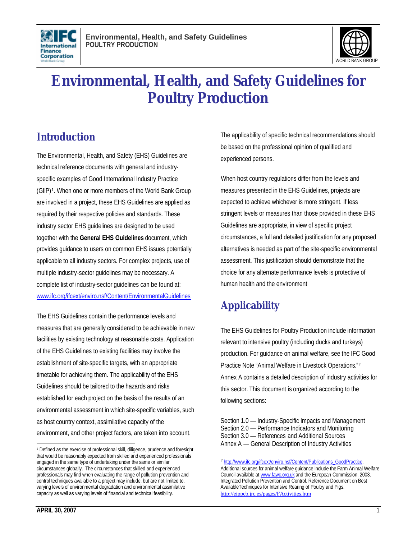



# **Environmental, Health, and Safety Guidelines for Poultry Production**

# **Introduction**

The Environmental, Health, and Safety (EHS) Guidelines are technical reference documents with general and industryspecific examples of Good International Industry Practice (GIIP)<sup>1</sup> . When one or more members of the World Bank Group are involved in a project, these EHS Guidelines are applied as required by their respective policies and standards. These industry sector EHS guidelines are designed to be used together with the **General EHS Guidelines** document, which provides guidance to users on common EHS issues potentially applicable to all industry sectors. For complex projects, use of multiple industry-sector guidelines may be necessary. A complete list of industry-sector guidelines can be found at: www.ifc.org/ifcext/enviro.nsf/Content/EnvironmentalGuidelines

The EHS Guidelines contain the performance levels and measures that are generally considered to be achievable in new facilities by existing technology at reasonable costs. Application of the EHS Guidelines to existing facilities may involve the establishment of site-specific targets, with an appropriate timetable for achieving them. The applicability of the EHS Guidelines should be tailored to the hazards and risks established for each project on the basis of the results of an environmental assessment in which site-specific variables, such as host country context, assimilative capacity of the environment, and other project factors, are taken into account.

The applicability of specific technical recommendations should be based on the professional opinion of qualified and experienced persons.

When host country regulations differ from the levels and measures presented in the EHS Guidelines, projects are expected to achieve whichever is more stringent. If less stringent levels or measures than those provided in these EHS Guidelines are appropriate, in view of specific project circumstances, a full and detailed justification for any proposed alternatives is needed as part of the site-specific environmental assessment. This justification should demonstrate that the choice for any alternate performance levels is protective of human health and the environment

# **Applicability**

<u>.</u>

The EHS Guidelines for Poultry Production include information relevant to intensive poultry (including ducks and turkeys) production. For guidance on animal welfare, see the IFC Good Practice Note "Animal Welfare in Livestock Operations."<sup>2</sup> Annex A contains a detailed description of industry activities for this sector. This document is organized according to the following sections:

Section 1.0 — Industry-Specific Impacts and Management Section 2.0 — Performance Indicators and Monitoring Section 3.0 — References and Additional Sources Annex A — General Description of Industry Activities

 $\overline{a}$ <sup>1</sup> Defined as the exercise of professional skill, diligence, prudence and foresight that would be reasonably expected from skilled and experienced professionals engaged in the same type of undertaking under the same or similar circumstances globally. The circumstances that skilled and experienced professionals may find when evaluating the range of pollution prevention and control techniques available to a project may include, but are not limited to, varying levels of environmental degradation and environmental assimilative capacity as well as varying levels of financial and technical feasibility.

<sup>2</sup> http://www.ifc.org/ifcext/enviro.nsf/Content/Publications\_GoodPractice. Additional sources for animal welfare guidance include the Farm Animal Welfare Council available at www.fawc.org.uk and the European Commission. 2003. Integrated Pollution Prevention and Control. Reference Document on Best AvailableTechniques for Intensive Rearing of Poultry and Pigs. http://eippcb.jrc.es/pages/FActivities.htm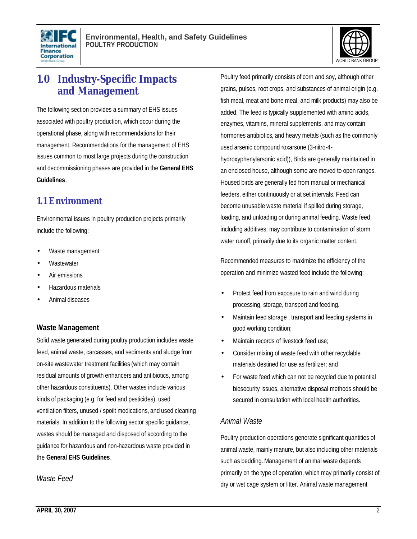



# **1.0 Industry-Specific Impacts and Management**

The following section provides a summary of EHS issues associated with poultry production, which occur during the operational phase, along with recommendations for their management. Recommendations for the management of EHS issues common to most large projects during the construction and decommissioning phases are provided in the **General EHS Guidelines**.

### **1.1 Environment**

Environmental issues in poultry production projects primarily include the following:

- Waste management
- **Wastewater**
- Air emissions
- Hazardous materials
- Animal diseases

#### **Waste Management**

Solid waste generated during poultry production includes waste feed, animal waste, carcasses, and sediments and sludge from on-site wastewater treatment facilities (which may contain residual amounts of growth enhancers and antibiotics, among other hazardous constituents). Other wastes include various kinds of packaging (e.g. for feed and pesticides), used ventilation filters, unused / spoilt medications, and used cleaning materials. In addition to the following sector specific guidance, wastes should be managed and disposed of according to the guidance for hazardous and non-hazardous waste provided in the **General EHS Guidelines**.

Poultry feed primarily consists of corn and soy, although other grains, pulses, root crops, and substances of animal origin (e.g. fish meal, meat and bone meal, and milk products) may also be added. The feed is typically supplemented with amino acids, enzymes, vitamins, mineral supplements, and may contain hormones antibiotics, and heavy metals (such as the commonly used arsenic compound roxarsone (3-nitro-4-

hydroxyphenylarsonic acid)), Birds are generally maintained in an enclosed house, although some are moved to open ranges. Housed birds are generally fed from manual or mechanical feeders, either continuously or at set intervals. Feed can become unusable waste material if spilled during storage, loading, and unloading or during animal feeding. Waste feed, including additives, may contribute to contamination of storm water runoff, primarily due to its organic matter content.

Recommended measures to maximize the efficiency of the operation and minimize wasted feed include the following:

- Protect feed from exposure to rain and wind during processing, storage, transport and feeding.
- Maintain feed storage , transport and feeding systems in good working condition;
- Maintain records of livestock feed use;
- Consider mixing of waste feed with other recyclable materials destined for use as fertilizer; and
- For waste feed which can not be recycled due to potential biosecurity issues, alternative disposal methods should be secured in consultation with local health authorities.

#### *Animal Waste*

Poultry production operations generate significant quantities of animal waste, mainly manure, but also including other materials such as bedding. Management of animal waste depends primarily on the type of operation, which may primarily consist of dry or wet cage system or litter. Animal waste management

*Waste Feed*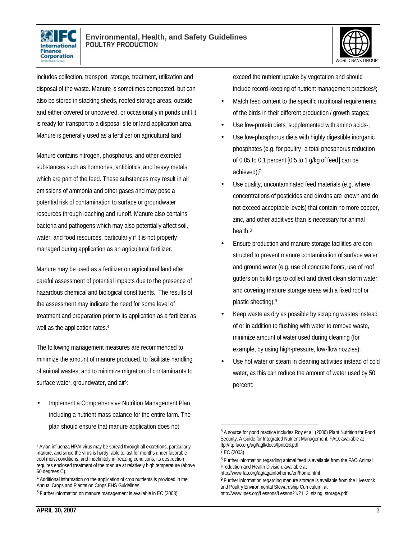



includes collection, transport, storage, treatment, utilization and disposal of the waste. Manure is sometimes composted, but can also be stored in stacking sheds, roofed storage areas, outside and either covered or uncovered, or occasionally in ponds until it is ready for transport to a disposal site or land application area. Manure is generally used as a fertilizer on agricultural land.

Manure contains nitrogen, phosphorus, and other excreted substances such as hormones, antibiotics, and heavy metals which are part of the feed. These substances may result in air emissions of ammonia and other gases and may pose a potential risk of contamination to surface or groundwater resources through leaching and runoff. Manure also contains bacteria and pathogens which may also potentially affect soil, water, and food resources, particularly if it is not properly managed during application as an agricultural fertilizer.<sup>3</sup>

Manure may be used as a fertilizer on agricultural land after careful assessment of potential impacts due to the presence of hazardous chemical and biological constituents. The results of the assessment may indicate the need for some level of treatment and preparation prior to its application as a fertilizer as well as the application rates.<sup>4</sup>

The following management measures are recommended to minimize the amount of manure produced, to facilitate handling of animal wastes, and to minimize migration of contaminants to surface water, groundwater, and air<sup>5</sup>:

• Implement a Comprehensive Nutrition Management Plan, including a nutrient mass balance for the entire farm. The plan should ensure that manure application does not

exceed the nutrient uptake by vegetation and should include record-keeping of nutrient management practices<sup>6</sup>;

- Match feed content to the specific nutritional requirements of the birds in their different production / growth stages;
- Use low-protein diets, supplemented with amino acids-;
- Use low-phosphorus diets with highly digestible inorganic phosphates (e.g. for poultry, a total phosphorus reduction of 0.05 to 0.1 percent [0.5 to 1 g/kg of feed] can be achieved);<sup>7</sup>
- Use quality, uncontaminated feed materials (e.g. where concentrations of pesticides and dioxins are known and do not exceed acceptable levels) that contain no more copper, zinc, and other additives than is necessary for animal health;<sup>8</sup>
- Ensure production and manure storage facilities are constructed to prevent manure contamination of surface water and ground water (e.g. use of concrete floors, use of roof gutters on buildings to collect and divert clean storm water, and covering manure storage areas with a fixed roof or plastic sheeting);<sup>9</sup>
- Keep waste as dry as possible by scraping wastes instead of or in addition to flushing with water to remove waste, minimize amount of water used during cleaning (for example, by using high-pressure, low-flow nozzles);
- Use hot water or steam in cleaning activities instead of cold water, as this can reduce the amount of water used by 50 percent;

 $\overline{a}$ 

l

<sup>&</sup>lt;sup>3</sup> Avian influenza HPAI virus may be spread through all excretions, particularly manure, and since the virus is hardy, able to last for months under favorable cool moist conditions, and indefinitely in freezing conditions, its destruction requires enclosed treatment of the manure at relatively high temperature (above 60 degrees C).

<sup>4</sup> Additional information on the application of crop nutrients is provided in the Annual Crops and Plantation Crops EHS Guidelines.

<sup>&</sup>lt;sup>5</sup> Further information on manure management is available in EC (2003)

<sup>&</sup>lt;sup>6</sup> A source for good practice includes Roy et al. (2006) Plant Nutrition for Food Security, A Guide for Integrated Nutrient Management, FAO, available at ftp://ftp.fao.org/agl/agll/docs/fpnb16.pdf

<sup>7</sup> EC (2003)

<sup>&</sup>lt;sup>8</sup> Further information regarding animal feed is available from the FAO Animal Production and Health Division, available at

http://www.fao.org/ag/againfo/home/en/home.html

<sup>&</sup>lt;sup>9</sup> Further information regarding manure storage is available from the Livestock and Poultry Environmental Stewardship Curriculum, at

http://www.lpes.org/Lessons/Lesson21/21\_2\_sizing\_storage.pdf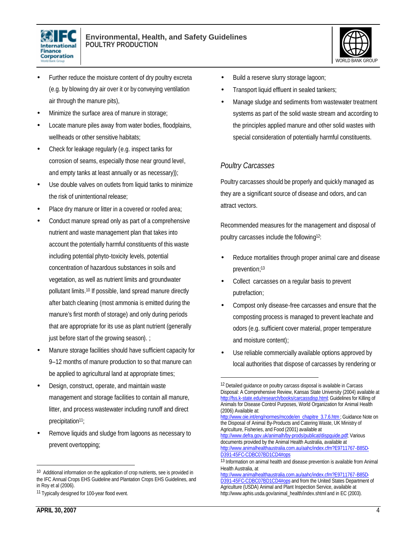



- Further reduce the moisture content of dry poultry excreta (e.g. by blowing dry air over it or by conveying ventilation air through the manure pits),
- Minimize the surface area of manure in storage;
- Locate manure piles away from water bodies, floodplains, wellheads or other sensitive habitats;
- Check for leakage regularly (e.g. inspect tanks for corrosion of seams, especially those near ground level, and empty tanks at least annually or as necessary));
- Use double valves on outlets from liquid tanks to minimize the risk of unintentional release;
- Place dry manure or litter in a covered or roofed area;
- Conduct manure spread only as part of a comprehensive nutrient and waste management plan that takes into account the potentially harmful constituents of this waste including potential phyto-toxicity levels, potential concentration of hazardous substances in soils and vegetation, as well as nutrient limits and groundwater pollutant limits. <sup>10</sup> If possible, land spread manure directly after batch cleaning (most ammonia is emitted during the manure's first month of storage) and only during periods that are appropriate for its use as plant nutrient (generally just before start of the growing season).;
- Manure storage facilities should have sufficient capacity for 9–12 months of manure production to so that manure can be applied to agricultural land at appropriate times;
- Design, construct, operate, and maintain waste management and storage facilities to contain all manure, litter, and process wastewater including runoff and direct precipitation<sup>11</sup>;
- Remove liquids and sludge from lagoons as necessary to prevent overtopping;
- Build a reserve slurry storage lagoon;
- Transport liquid effluent in sealed tankers;
- Manage sludge and sediments from wastewater treatment systems as part of the solid waste stream and according to the principles applied manure and other solid wastes with special consideration of potentially harmful constituents.

#### *Poultry Carcasses*

1

Poultry carcasses should be properly and quickly managed as they are a significant source of disease and odors, and can attract vectors.

Recommended measures for the management and disposal of poultry carcasses include the following 12:

- Reduce mortalities through proper animal care and disease prevention;<sup>13</sup>
- Collect carcasses on a regular basis to prevent putrefaction;
- Compost only disease-free carcasses and ensure that the composting process is managed to prevent leachate and odors (e.g. sufficient cover material, proper temperature and moisture content);
- Use reliable commercially available options approved by local authorities that dispose of carcasses by rendering or

 $\overline{a}$ 

<sup>&</sup>lt;sup>10</sup> Additional information on the application of crop nutrients, see is provided in the IFC Annual Crops EHS Guideline and Plantation Crops EHS Guidelines, and in Roy et al (2006).

<sup>11</sup> Typically designed for 100-year flood event.

<sup>12</sup> Detailed guidance on poultry carcass disposal is available in Carcass Disposal: A Comprehensive Review, Kansas State University (2004) available at http://fss.k-state.edu/research/books/carcassdisp.html; Guidelines for Killing of Animals for Disease Control Purposes, World Organization for Animal Health (2006) Available at:

http://www.oie.int/eng/normes/mcode/en\_chapitre\_3.7.6.htm; Guidance Note on the Disposal of Animal By-Products and Catering Waste, UK Ministry of Agriculture, Fisheries, and Food (2001) available at

http://www.defra.gov.uk/animalh/by-prods/publicat/dispguide.pdf; Various documents provided by the Animal Health Australia, available at http://www.animalhealthaustralia.com.au/aahc/index.cfm?E9711767-B85D-D391-45FC-CDBC07BD1CD4#ops

<sup>13</sup> Information on animal health and disease prevention is available from Animal Health Australia, at

http://www.animalhealthaustralia.com.au/aahc/index.cfm?E9711767-B85D-D391-45FC-CDBC07BD1CD4#ops and from the United States Department of Agriculture (USDA) Animal and Plant Inspection Service, available at http://www.aphis.usda.gov/animal\_health/index.shtml and in EC (2003).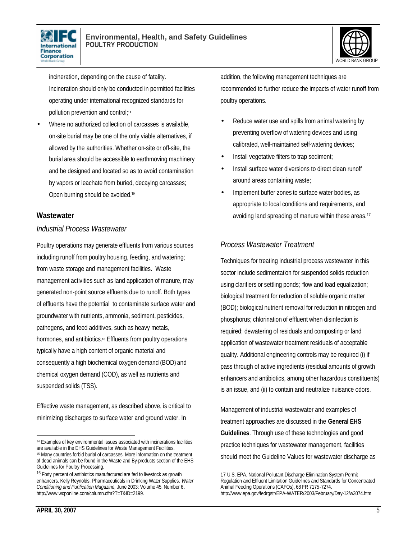



incineration, depending on the cause of fatality. Incineration should only be conducted in permitted facilities operating under international recognized standards for pollution prevention and control;<sup>14</sup>

• Where no authorized collection of carcasses is available, on-site burial may be one of the only viable alternatives, if allowed by the authorities. Whether on-site or off-site, the burial area should be accessible to earthmoving machinery and be designed and located so as to avoid contamination by vapors or leachate from buried, decaying carcasses; Open burning should be avoided.<sup>15</sup>

#### **Wastewater**

#### *Industrial Process Wastewater*

Poultry operations may generate effluents from various sources including runoff from poultry housing, feeding, and watering; from waste storage and management facilities. Waste management activities such as land application of manure, may generated non-point source effluents due to runoff. Both types of effluents have the potential to contaminate surface water and groundwater with nutrients, ammonia, sediment, pesticides, pathogens, and feed additives, such as heavy metals, hormones, and antibiotics.<sup>16</sup> Effluents from poultry operations typically have a high content of organic material and consequently a high biochemical oxygen demand (BOD) and chemical oxygen demand (COD), as well as nutrients and suspended solids (TSS).

Effective waste management, as described above, is critical to minimizing discharges to surface water and ground water. In

addition, the following management techniques are recommended to further reduce the impacts of water runoff from poultry operations.

- Reduce water use and spills from animal watering by preventing overflow of watering devices and using calibrated, well-maintained self-watering devices;
- Install vegetative filters to trap sediment;
- Install surface water diversions to direct clean runoff around areas containing waste;
- Implement buffer zones to surface water bodies, as appropriate to local conditions and requirements, and avoiding land spreading of manure within these areas.<sup>17</sup>

### *Process Wastewater Treatment*

Techniques for treating industrial process wastewater in this sector include sedimentation for suspended solids reduction using clarifiers or settling ponds; flow and load equalization; biological treatment for reduction of soluble organic matter (BOD); biological nutrient removal for reduction in nitrogen and phosphorus; chlorination of effluent when disinfection is required; dewatering of residuals and composting or land application of wastewater treatment residuals of acceptable quality. Additional engineering controls may be required (i) if pass through of active ingredients (residual amounts of growth enhancers and antibiotics, among other hazardous constituents) is an issue, and (ii) to contain and neutralize nuisance odors.

Management of industrial wastewater and examples of treatment approaches are discussed in the **General EHS Guidelines**. Through use of these technologies and good practice techniques for wastewater management, facilities should meet the Guideline Values for wastewater discharge as

l

l

<sup>14</sup> Examples of key environmental issues associated with incinerations facilities are available in the EHS Guidelines for Waste Management Facilities. <sup>15</sup> Many countries forbid burial of carcasses. More information on the treatment of dead animals can be found in the Waste and By-products section of the EHS Guidelines for Poultry Processing.

<sup>&</sup>lt;sup>16</sup> Forty percent of antibiotics manufactured are fed to livestock as growth enhancers. Kelly Reynolds, Pharmaceuticals in Drinking Water Supplies, *Water Conditioning and Purification Magazine,* June 2003: Volume 45, Number 6. http://www.wcponline.com/column.cfm?T=T&ID=2199.

<sup>17</sup> U.S. EPA, National Pollutant Discharge Elimination System Permit Regulation and Effluent Limitation Guidelines and Standards for Concentrated Animal Feeding Operations (CAFOs), 68 FR 7175-7274. http://www.epa.gov/fedrgstr/EPA-WATER/2003/February/Day-12/w3074.htm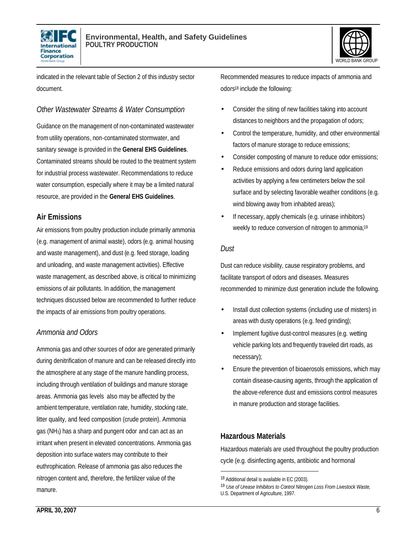



indicated in the relevant table of Section 2 of this industry sector document.

#### *Other Wastewater Streams & Water Consumption*

Guidance on the management of non-contaminated wastewater from utility operations, non-contaminated stormwater, and sanitary sewage is provided in the **General EHS Guidelines**. Contaminated streams should be routed to the treatment system for industrial process wastewater. Recommendations to reduce water consumption, especially where it may be a limited natural resource, are provided in the **General EHS Guidelines**.

#### **Air Emissions**

Air emissions from poultry production include primarily ammonia (e.g. management of animal waste), odors (e.g. animal housing and waste management), and dust (e.g. feed storage, loading and unloading, and waste management activities). Effective waste management, as described above, is critical to minimizing emissions of air pollutants. In addition, the management techniques discussed below are recommended to further reduce the impacts of air emissions from poultry operations.

#### *Ammonia and Odors*

Ammonia gas and other sources of odor are generated primarily during denitrification of manure and can be released directly into the atmosphere at any stage of the manure handling process, including through ventilation of buildings and manure storage areas. Ammonia gas levels also may be affected by the ambient temperature, ventilation rate, humidity, stocking rate, litter quality, and feed composition (crude protein). Ammonia gas (NH3) has a sharp and pungent odor and can act as an irritant when present in elevated concentrations. Ammonia gas deposition into surface waters may contribute to their euthrophication. Release of ammonia gas also reduces the nitrogen content and, therefore, the fertilizer value of the manure.

Recommended measures to reduce impacts of ammonia and odors<sup>18</sup> include the following:

- Consider the siting of new facilities taking into account distances to neighbors and the propagation of odors;
- Control the temperature, humidity, and other environmental factors of manure storage to reduce emissions;
- Consider composting of manure to reduce odor emissions;
- Reduce emissions and odors during land application activities by applying a few centimeters below the soil surface and by selecting favorable weather conditions (e.g. wind blowing away from inhabited areas);
- If necessary, apply chemicals (e.g. urinase inhibitors) weekly to reduce conversion of nitrogen to ammonia;<sup>19</sup>

#### *Dust*

Dust can reduce visibility, cause respiratory problems, and facilitate transport of odors and diseases. Measures recommended to minimize dust generation include the following.

- Install dust collection systems (including use of misters) in areas with dusty operations (e.g. feed grinding);
- Implement fugitive dust-control measures (e.g. wetting vehicle parking lots and frequently traveled dirt roads, as necessary);
- Ensure the prevention of bioaerosols emissions, which may contain disease-causing agents, through the application of the above-reference dust and emissions control measures in manure production and storage facilities.

#### **Hazardous Materials**

 $\overline{a}$ 

Hazardous materials are used throughout the poultry production cycle (e.g. disinfecting agents, antibiotic and hormonal

<sup>18</sup> Additional detail is available in EC (2003).

<sup>19</sup> *Use of Urease Inhibitors to Control Nitrogen Loss From Livestock Waste*, U.S. Department of Agriculture, 1997.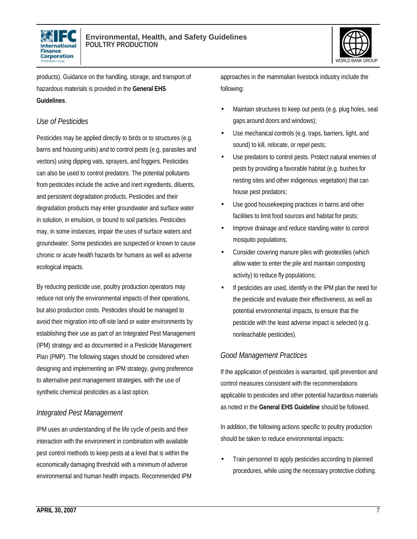



products). Guidance on the handling, storage, and transport of hazardous materials is provided in the **General EHS Guidelines**.

#### *Use of Pesticides*

Pesticides may be applied directly to birds or to structures (e.g. barns and housing units) and to control pests (e.g. parasites and vectors) using dipping vats, sprayers, and foggers. Pesticides can also be used to control predators. The potential pollutants from pesticides include the active and inert ingredients, diluents, and persistent degradation products. Pesticides and their degradation products may enter groundwater and surface water in solution, in emulsion, or bound to soil particles. Pesticides may, in some instances, impair the uses of surface waters and groundwater. Some pesticides are suspected or known to cause chronic or acute health hazards for humans as well as adverse ecological impacts.

By reducing pesticide use, poultry production operators may reduce not only the environmental impacts of their operations, but also production costs. Pesticides should be managed to avoid their migration into off-site land or water environments by establishing their use as part of an Integrated Pest Management (IPM) strategy and as documented in a Pesticide Management Plan (PMP). The following stages should be considered when designing and implementing an IPM strategy, giving preference to alternative pest management strategies, with the use of synthetic chemical pesticides as a last option.

### *Integrated Pest Management*

IPM uses an understanding of the life cycle of pests and their interaction with the environment in combination with available pest control methods to keep pests at a level that is within the economically damaging threshold with a minimum of adverse environmental and human health impacts. Recommended IPM approaches in the mammalian livestock industry include the following:

- Maintain structures to keep out pests (e.g. plug holes, seal gaps around doors and windows);
- Use mechanical controls (e.g. traps, barriers, light, and sound) to kill, relocate, or repel pests;
- Use predators to control pests. Protect natural enemies of pests by providing a favorable habitat (e.g. bushes for nesting sites and other indigenous vegetation) that can house pest predators;
- Use good housekeeping practices in barns and other facilities to limit food sources and habitat for pests;
- Improve drainage and reduce standing water to control mosquito populations;
- Consider covering manure piles with geotextiles (which allow water to enter the pile and maintain composting activity) to reduce fly populations;
- If pesticides are used, identify in the IPM plan the need for the pesticide and evaluate their effectiveness, as well as potential environmental impacts, to ensure that the pesticide with the least adverse impact is selected (e.g. nonleachable pesticides).

### *Good Management Practices*

If the application of pesticides is warranted, spill prevention and control measures consistent with the recommendations applicable to pesticides and other potential hazardous materials as noted in the **General EHS Guideline** should be followed.

In addition, the following actions specific to poultry production should be taken to reduce environmental impacts:

• Train personnel to apply pesticides according to planned procedures, while using the necessary protective clothing.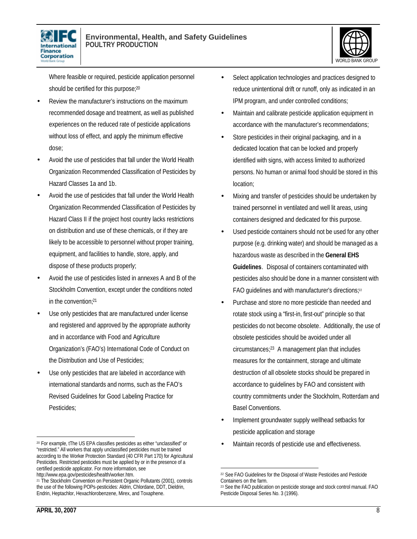



Where feasible or required, pesticide application personnel should be certified for this purpose;<sup>20</sup>

- Review the manufacturer's instructions on the maximum recommended dosage and treatment, as well as published experiences on the reduced rate of pesticide applications without loss of effect, and apply the minimum effective dose;
- Avoid the use of pesticides that fall under the World Health Organization Recommended Classification of Pesticides by Hazard Classes 1a and 1b.
- Avoid the use of pesticides that fall under the World Health Organization Recommended Classification of Pesticides by Hazard Class II if the project host country lacks restrictions on distribution and use of these chemicals, or if they are likely to be accessible to personnel without proper training, equipment, and facilities to handle, store, apply, and dispose of these products properly;
- Avoid the use of pesticides listed in annexes A and B of the Stockholm Convention, except under the conditions noted in the convention;<sup>21</sup>
- Use only pesticides that are manufactured under license and registered and approved by the appropriate authority and in accordance with Food and Agriculture Organization's (FAO's) International Code of Conduct on the Distribution and Use of Pesticides;
- Use only pesticides that are labeled in accordance with international standards and norms, such as the FAO's Revised Guidelines for Good Labeling Practice for Pesticides;
- Select application technologies and practices designed to reduce unintentional drift or runoff, only as indicated in an IPM program, and under controlled conditions;
- Maintain and calibrate pesticide application equipment in accordance with the manufacturer's recommendations;
- Store pesticides in their original packaging, and in a dedicated location that can be locked and properly identified with signs, with access limited to authorized persons. No human or animal food should be stored in this location;
- Mixing and transfer of pesticides should be undertaken by trained personnel in ventilated and well lit areas, using containers designed and dedicated for this purpose.
- Used pesticide containers should not be used for any other purpose (e.g. drinking water) and should be managed as a hazardous waste as described in the **General EHS Guidelines**. Disposal of containers contaminated with pesticides also should be done in a manner consistent with FAO guidelines and with manufacturer's directions;<sup>22</sup>
- Purchase and store no more pesticide than needed and rotate stock using a "first-in, first-out" principle so that pesticides do not become obsolete. Additionally, the use of obsolete pesticides should be avoided under all circumstances; <sup>23</sup> A management plan that includes measures for the containment, storage and ultimate destruction of all obsolete stocks should be prepared in accordance to guidelines by FAO and consistent with country commitments under the Stockholm, Rotterdam and Basel Conventions.
- Implement groundwater supply wellhead setbacks for pesticide application and storage
- Maintain records of pesticide use and effectiveness.

 $\overline{a}$ <sup>20</sup> For example, tThe US EPA classifies pesticides as either "unclassified" or "restricted." All workers that apply unclassified pesticides must be trained according to the Worker Protection Standard (40 CFR Part 170) for Agricultural Pesticides. Restricted pesticides must be applied by or in the presence of a certified pesticide applicator. For more information, see http://www.epa.gov/pesticides/health/worker.htm.

<sup>21</sup> The Stockholm Convention on Persistent Organic Pollutants (2001), controls the use of the following POPs-pesticides: Aldrin, Chlordane, DDT, Dieldrin, Endrin, Heptachlor, Hexachlorobenzene, Mirex, and Toxaphene.

<sup>&</sup>lt;u>.</u> <sup>22</sup> See FAO Guidelines for the Disposal of Waste Pesticides and Pesticide Containers on the farm.

<sup>23</sup> See the FAO publication on pesticide storage and stock control manual. FAO Pesticide Disposal Series No. 3 (1996).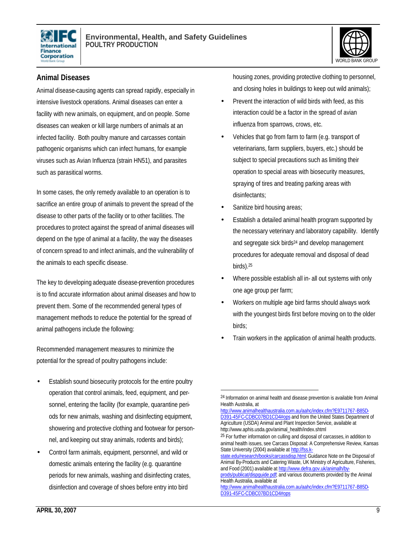



#### **Animal Diseases**

Animal disease-causing agents can spread rapidly, especially in intensive livestock operations. Animal diseases can enter a facility with new animals, on equipment, and on people. Some diseases can weaken or kill large numbers of animals at an infected facility. Both poultry manure and carcasses contain pathogenic organisms which can infect humans, for example viruses such as Avian Influenza (strain HN51), and parasites such as parasitical worms.

In some cases, the only remedy available to an operation is to sacrifice an entire group of animals to prevent the spread of the disease to other parts of the facility or to other facilities. The procedures to protect against the spread of animal diseases will depend on the type of animal at a facility, the way the diseases of concern spread to and infect animals, and the vulnerability of the animals to each specific disease.

The key to developing adequate disease-prevention procedures is to find accurate information about animal diseases and how to prevent them. Some of the recommended general types of management methods to reduce the potential for the spread of animal pathogens include the following:

Recommended management measures to minimize the potential for the spread of poultry pathogens include:

- Establish sound biosecurity protocols for the entire poultry operation that control animals, feed, equipment, and personnel, entering the facility (for example, quarantine periods for new animals, washing and disinfecting equipment, showering and protective clothing and footwear for personnel, and keeping out stray animals, rodents and birds);
- Control farm animals, equipment, personnel, and wild or domestic animals entering the facility (e.g. quarantine periods for new animals, washing and disinfecting crates, disinfection and coverage of shoes before entry into bird

housing zones, providing protective clothing to personnel, and closing holes in buildings to keep out wild animals);

- Prevent the interaction of wild birds with feed, as this interaction could be a factor in the spread of avian influenza from sparrows, crows, etc.
- Vehicles that go from farm to farm (e.g. transport of veterinarians, farm suppliers, buyers, etc.) should be subject to special precautions such as limiting their operation to special areas with biosecurity measures, spraying of tires and treating parking areas with disinfectants;
- Sanitize bird housing areas;

<u>.</u>

- Establish a detailed animal health program supported by the necessary veterinary and laboratory capability. Identify and segregate sick birds<sup>24</sup> and develop management procedures for adequate removal and disposal of dead birds).<sup>25</sup>
- Where possible establish all in- all out systems with only one age group per farm;
- Workers on multiple age bird farms should always work with the youngest birds first before moving on to the older birds;
- Train workers in the application of animal health products.

<sup>&</sup>lt;sup>24</sup> Information on animal health and disease prevention is available from Animal Health Australia, at

http://www.animalhealthaustralia.com.au/aahc/index.cfm?E9711767-B85D-D391-45FC-CDBC07BD1CD4#ops and from the United States Department of Agriculture (USDA) Animal and Plant Inspection Service, available at http://www.aphis.usda.gov/animal\_health/index.shtml

<sup>&</sup>lt;sup>25</sup> For further information on culling and disposal of carcasses, in addition to animal health issues, see Carcass Disposal: A Comprehensive Review, Kansas State University (2004) available at http://fss.k-

state.edu/research/books/carcassdisp.html; Guidance Note on the Disposal of Animal By-Products and Catering Waste, UK Ministry of Agriculture, Fisheries, and Food (2001) available at http://www.defra.gov.uk/animalh/by-

prods/publicat/dispguide.pdf; and various documents provided by the Animal Health Australia, available at

http://www.animalhealthaustralia.com.au/aahc/index.cfm?E9711767-B85D-D391-45FC-CDBC07BD1CD4#ops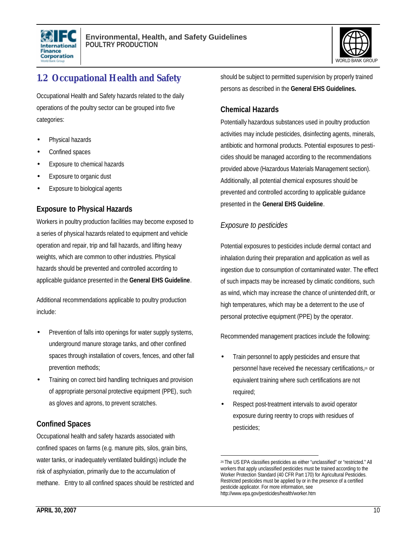



## **1.2 Occupational Health and Safety**

Occupational Health and Safety hazards related to the daily operations of the poultry sector can be grouped into five categories:

- Physical hazards
- Confined spaces
- Exposure to chemical hazards
- Exposure to organic dust
- Exposure to biological agents

#### **Exposure to Physical Hazards**

Workers in poultry production facilities may become exposed to a series of physical hazards related to equipment and vehicle operation and repair, trip and fall hazards, and lifting heavy weights, which are common to other industries. Physical hazards should be prevented and controlled according to applicable guidance presented in the **General EHS Guideline**.

Additional recommendations applicable to poultry production include:

- Prevention of falls into openings for water supply systems, underground manure storage tanks, and other confined spaces through installation of covers, fences, and other fall prevention methods;
- Training on correct bird handling techniques and provision of appropriate personal protective equipment (PPE), such as gloves and aprons, to prevent scratches.

#### **Confined Spaces**

Occupational health and safety hazards associated with confined spaces on farms (e.g. manure pits, silos, grain bins, water tanks, or inadequately ventilated buildings) include the risk of asphyxiation, primarily due to the accumulation of methane. Entry to all confined spaces should be restricted and should be subject to permitted supervision by properly trained persons as described in the **General EHS Guidelines.** 

#### **Chemical Hazards**

Potentially hazardous substances used in poultry production activities may include pesticides, disinfecting agents, minerals, antibiotic and hormonal products. Potential exposures to pesticides should be managed according to the recommendations provided above (Hazardous Materials Management section). Additionally, all potential chemical exposures should be prevented and controlled according to applicable guidance presented in the **General EHS Guideline**.

#### *Exposure to pesticides*

Potential exposures to pesticides include dermal contact and inhalation during their preparation and application as well as ingestion due to consumption of contaminated water. The effect of such impacts may be increased by climatic conditions, such as wind, which may increase the chance of unintended drift, or high temperatures, which may be a deterrent to the use of personal protective equipment (PPE) by the operator.

Recommended management practices include the following:

- Train personnel to apply pesticides and ensure that personnel have received the necessary certifications,26 or equivalent training where such certifications are not required;
- Respect post-treatment intervals to avoid operator exposure during reentry to crops with residues of pesticides;

 $\overline{a}$ <sup>26</sup> The US EPA classifies pesticides as either "unclassified" or "restricted." All workers that apply unclassified pesticides must be trained according to the Worker Protection Standard (40 CFR Part 170) for Agricultural Pesticides. Restricted pesticides must be applied by or in the presence of a certified pesticide applicator. For more information, see http://www.epa.gov/pesticides/health/worker.htm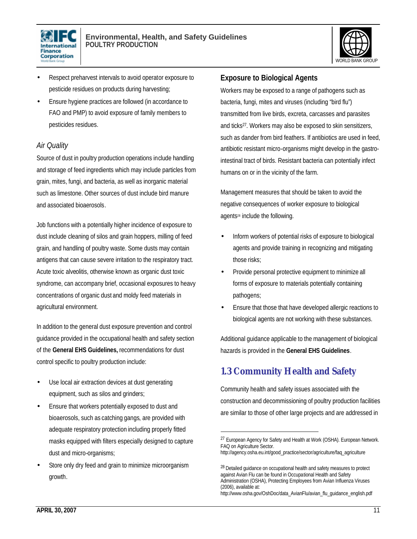



- Respect preharvest intervals to avoid operator exposure to pesticide residues on products during harvesting;
- Ensure hygiene practices are followed (in accordance to FAO and PMP) to avoid exposure of family members to pesticides residues.

#### *Air Quality*

Source of dust in poultry production operations include handling and storage of feed ingredients which may include particles from grain, mites, fungi, and bacteria, as well as inorganic material such as limestone. Other sources of dust include bird manure and associated bioaerosols.

Job functions with a potentially higher incidence of exposure to dust include cleaning of silos and grain hoppers, milling of feed grain, and handling of poultry waste. Some dusts may contain antigens that can cause severe irritation to the respiratory tract. Acute toxic alveolitis, otherwise known as organic dust toxic syndrome, can accompany brief, occasional exposures to heavy concentrations of organic dust and moldy feed materials in agricultural environment.

In addition to the general dust exposure prevention and control guidance provided in the occupational health and safety section of the **General EHS Guidelines,** recommendations for dust control specific to poultry production include:

- Use local air extraction devices at dust generating equipment, such as silos and grinders;
- Ensure that workers potentially exposed to dust and bioaerosols, such as catching gangs, are provided with adequate respiratory protection including properly fitted masks equipped with filters especially designed to capture dust and micro-organisms;
- Store only dry feed and grain to minimize microorganism growth.

#### **Exposure to Biological Agents**

Workers may be exposed to a range of pathogens such as bacteria, fungi, mites and viruses (including "bird flu") transmitted from live birds, excreta, carcasses and parasites and ticks27. Workers may also be exposed to skin sensitizers, such as dander from bird feathers. If antibiotics are used in feed, antibiotic resistant micro-organisms might develop in the gastrointestinal tract of birds. Resistant bacteria can potentially infect humans on or in the vicinity of the farm.

Management measures that should be taken to avoid the negative consequences of worker exposure to biological agents<sup>28</sup> include the following.

- Inform workers of potential risks of exposure to biological agents and provide training in recognizing and mitigating those risks;
- Provide personal protective equipment to minimize all forms of exposure to materials potentially containing pathogens;
- Ensure that those that have developed allergic reactions to biological agents are not working with these substances.

Additional guidance applicable to the management of biological hazards is provided in the **General EHS Guidelines**.

### **1.3 Community Health and Safety**

Community health and safety issues associated with the construction and decommissioning of poultry production facilities are similar to those of other large projects and are addressed in

l

<sup>&</sup>lt;sup>27</sup> European Agency for Safety and Health at Work (OSHA). European Network. FAQ on Agriculture Sector.

http://agency.osha.eu.int/good\_practice/sector/agriculture/faq\_agriculture

<sup>&</sup>lt;sup>28</sup> Detailed guidance on occupational health and safety measures to protect against Avian Flu can be found in Occupational Health and Safety Administration (OSHA), Protecting Employees from Avian Influenza Viruses (2006), available at:

http://www.osha.gov/OshDoc/data\_AvianFlu/avian\_flu\_guidance\_english.pdf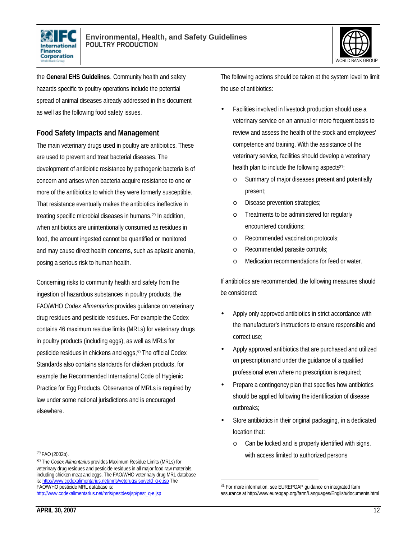



the **General EHS Guidelines**. Community health and safety hazards specific to poultry operations include the potential spread of animal diseases already addressed in this document as well as the following food safety issues.

#### **Food Safety Impacts and Management**

The main veterinary drugs used in poultry are antibiotics. These are used to prevent and treat bacterial diseases. The development of antibiotic resistance by pathogenic bacteria is of concern and arises when bacteria acquire resistance to one or more of the antibiotics to which they were formerly susceptible. That resistance eventually makes the antibiotics ineffective in treating specific microbial diseases in humans.29 In addition, when antibiotics are unintentionally consumed as residues in food, the amount ingested cannot be quantified or monitored and may cause direct health concerns, such as aplastic anemia, posing a serious risk to human health.

Concerning risks to community health and safety from the ingestion of hazardous substances in poultry products, the FAO/WHO *Codex Alimentarius* provides guidance on veterinary drug residues and pesticide residues. For example the Codex contains 46 maximum residue limits (MRLs) for veterinary drugs in poultry products (including eggs), as well as MRLs for pesticide residues in chickens and eggs,30 The official Codex Standards also contains standards for chicken products, for example the Recommended International Code of Hygienic Practice for Egg Products. Observance of MRLs is required by law under some national jurisdictions and is encouraged elsewhere.

29 FAO (2002b).

 $\overline{a}$ 

The following actions should be taken at the system level to limit the use of antibiotics:

- Facilities involved in livestock production should use a veterinary service on an annual or more frequent basis to review and assess the health of the stock and employees' competence and training. With the assistance of the veterinary service, facilities should develop a veterinary health plan to include the following aspects<sup>31</sup>:
	- o Summary of major diseases present and potentially present;
	- o Disease prevention strategies;
	- o Treatments to be administered for regularly encountered conditions;
	- o Recommended vaccination protocols;
	- o Recommended parasite controls;
	- o Medication recommendations for feed or water.

If antibiotics are recommended, the following measures should be considered:

- Apply only approved antibiotics in strict accordance with the manufacturer's instructions to ensure responsible and correct use;
- Apply approved antibiotics that are purchased and utilized on prescription and under the guidance of a qualified professional even where no prescription is required;
- Prepare a contingency plan that specifies how antibiotics should be applied following the identification of disease outbreaks;
- Store antibiotics in their original packaging, in a dedicated location that:
	- o Can be locked and is properly identified with signs, with access limited to authorized persons

<sup>30</sup> The *Codex Alimentarius* provides Maximum Residue Limits (MRLs) for veterinary drug residues and pesticide residues in all major food raw materials, including chicken meat and eggs. The FAO/WHO veterinary drug MRL database is: http://www.codexalimentarius.net/mrls/vetdrugs/jsp/vetd\_q-e.jsp The FAO/WHO pesticide MRL database is: http://www.codexalimentarius.net/mrls/pestdes/jsp/pest\_q-e.jsp

<sup>1</sup> 31 For more information, see EUREPGAP guidance on integrated farm assurance at http://www.eurepgap.org/farm/Languages/English/documents.html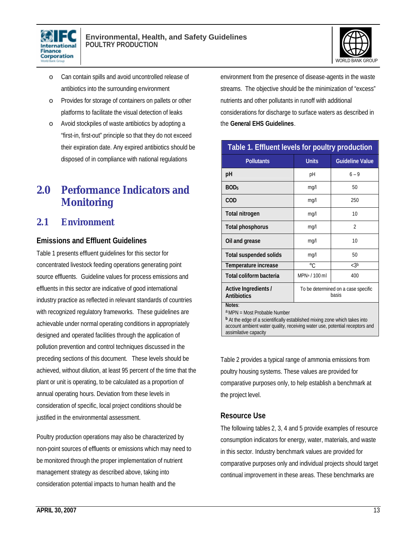



- o Can contain spills and avoid uncontrolled release of antibiotics into the surrounding environment
- o Provides for storage of containers on pallets or other platforms to facilitate the visual detection of leaks
- o Avoid stockpiles of waste antibiotics by adopting a "first-in, first-out" principle so that they do not exceed their expiration date. Any expired antibiotics should be disposed of in compliance with national regulations

# **2.0 Performance Indicators and Monitoring**

### **2.1 Environment**

#### **Emissions and Effluent Guidelines**

Table 1 presents effluent guidelines for this sector for concentrated livestock feeding operations generating point source effluents. Guideline values for process emissions and effluents in this sector are indicative of good international industry practice as reflected in relevant standards of countries with recognized regulatory frameworks. These guidelines are achievable under normal operating conditions in appropriately designed and operated facilities through the application of pollution prevention and control techniques discussed in the preceding sections of this document. These levels should be achieved, without dilution, at least 95 percent of the time that the plant or unit is operating, to be calculated as a proportion of annual operating hours. Deviation from these levels in consideration of specific, local project conditions should be justified in the environmental assessment.

Poultry production operations may also be characterized by non-point sources of effluents or emissions which may need to be monitored through the proper implementation of nutrient management strategy as described above, taking into consideration potential impacts to human health and the

environment from the presence of disease-agents in the waste streams. The objective should be the minimization of "excess" nutrients and other pollutants in runoff with additional considerations for discharge to surface waters as described in the **General EHS Guidelines**.

| Table 1. Effluent levels for poultry production                                                                                                                                                                                                |                                              |                        |  |  |
|------------------------------------------------------------------------------------------------------------------------------------------------------------------------------------------------------------------------------------------------|----------------------------------------------|------------------------|--|--|
| <b>Pollutants</b>                                                                                                                                                                                                                              | <b>Units</b>                                 | <b>Guideline Value</b> |  |  |
| pН                                                                                                                                                                                                                                             | рH                                           | $6 - 9$                |  |  |
| BOD <sub>5</sub>                                                                                                                                                                                                                               | mq/l                                         | 50                     |  |  |
| COD                                                                                                                                                                                                                                            | mq/l                                         | 250                    |  |  |
| <b>Total nitrogen</b>                                                                                                                                                                                                                          | mg/l                                         | 10                     |  |  |
| <b>Total phosphorus</b>                                                                                                                                                                                                                        | mg/l                                         | $\overline{2}$         |  |  |
| Oil and grease                                                                                                                                                                                                                                 | mg/l                                         | 10                     |  |  |
| <b>Total suspended solids</b>                                                                                                                                                                                                                  | 50<br>mg/l                                   |                        |  |  |
| Temperature increase                                                                                                                                                                                                                           | <3b<br>$\circ$ C.                            |                        |  |  |
| Total coliform bacteria                                                                                                                                                                                                                        | MPN <sup>a</sup> / 100 ml<br>400             |                        |  |  |
| Active Ingredients /<br><b>Antibiotics</b>                                                                                                                                                                                                     | To be determined on a case specific<br>hasis |                        |  |  |
| Notes:<br><sup>a</sup> MPN = Most Probable Number<br><b>b</b> At the edge of a scientifically established mixing zone which takes into<br>account ambient water quality, receiving water use, potential receptors and<br>assimilative capacity |                                              |                        |  |  |

Table 2 provides a typical range of ammonia emissions from poultry housing systems. These values are provided for comparative purposes only, to help establish a benchmark at the project level.

#### **Resource Use**

The following tables 2, 3, 4 and 5 provide examples of resource consumption indicators for energy, water, materials, and waste in this sector. Industry benchmark values are provided for comparative purposes only and individual projects should target continual improvement in these areas. These benchmarks are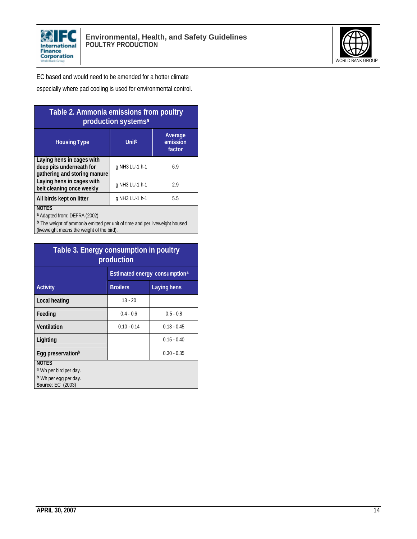



EC based and would need to be amended for a hotter climate

especially where pad cooling is used for environmental control.

| Table 2. Ammonia emissions from poultry<br>production systems <sup>a</sup>            |                   |                               |  |  |
|---------------------------------------------------------------------------------------|-------------------|-------------------------------|--|--|
| <b>Housing Type</b>                                                                   | Unit <sup>b</sup> | Average<br>emission<br>factor |  |  |
| Laying hens in cages with<br>deep pits underneath for<br>gathering and storing manure | g NH3 LU-1 h-1    | 6.9                           |  |  |
| Laying hens in cages with<br>belt cleaning once weekly                                | g NH3 LU-1 h-1    | 29                            |  |  |
| All birds kept on litter                                                              | g NH3 LU-1 h-1    | 5.5                           |  |  |
| <b>NOTES</b>                                                                          |                   |                               |  |  |

**a** Adapted from: DEFRA (2002)

**b** The weight of ammonia emitted per unit of time and per liveweight housed (liveweight means the weight of the bird).

#### **Table 3. Energy consumption in poultry production**

|                                                                                             | Estimated energy consumption <sup>a</sup> |               |  |
|---------------------------------------------------------------------------------------------|-------------------------------------------|---------------|--|
| <b>Activity</b>                                                                             | <b>Broilers</b>                           | Laying hens   |  |
| <b>Local heating</b>                                                                        | $13 - 20$                                 |               |  |
| Feeding                                                                                     | $0.4 - 0.6$                               | $0.5 - 0.8$   |  |
| Ventilation                                                                                 | $0.10 - 0.14$                             | $0.13 - 0.45$ |  |
| Lighting                                                                                    |                                           | $0.15 - 0.40$ |  |
| Egg preservation <sup>b</sup>                                                               |                                           | $0.30 - 0.35$ |  |
| <b>NOTES</b><br>a Wh per bird per day.<br><b>b</b> Wh per egg per day.<br>Source: EC (2003) |                                           |               |  |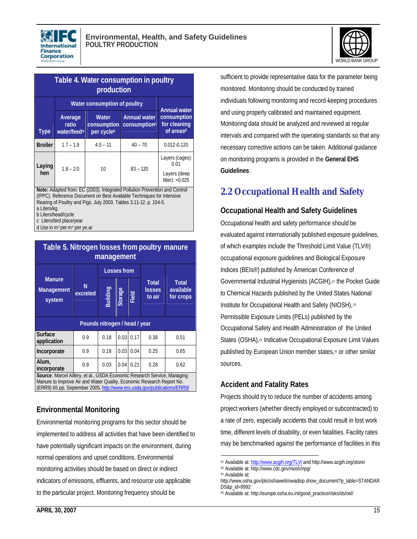



| Table 4. Water consumption in poultry<br>production |                                             |                                    |                                                 |                                                              |  |
|-----------------------------------------------------|---------------------------------------------|------------------------------------|-------------------------------------------------|--------------------------------------------------------------|--|
|                                                     | Water consumption of poultry                |                                    |                                                 | <b>Annual water</b>                                          |  |
| <b>Type</b>                                         | Average<br>ratio<br>water/feed <sup>a</sup> | Water<br>consumption<br>per cycleb | <b>Annual water</b><br>consumption <sup>c</sup> | consumption<br>for cleaning<br>of areas <sup>d</sup>         |  |
| <b>Broiler</b>                                      | $1.7 - 1.9$                                 | $4.5 - 11$                         | $40 - 70$                                       | $0.012 - 0.120$                                              |  |
| Laying<br>hen                                       | $1.8 - 2.0$                                 | 10                                 | $83 - 120$                                      | Layers (cages):<br>0.01<br>Layers (deep<br>litter): $>0.025$ |  |

**Note:** Adapted from: EC (2003). Integrated Pollution Prevention and Control (IPPC). Reference Document on Best Available Techniques for Intensive Rearing of Poultry and Pigs. July 2003. Tables 3.11-12. p. 104-5. a Liters/kg

b Liters/head/cycle

c Liters/bird place/year

d Use in m<sup>3</sup> per m<sup>2</sup> per ye.ar

| Table 5. Nitrogen losses from poultry manure<br>management                                                                                      |               |                    |         |       |                                         |                                        |
|-------------------------------------------------------------------------------------------------------------------------------------------------|---------------|--------------------|---------|-------|-----------------------------------------|----------------------------------------|
|                                                                                                                                                 |               | <b>Losses from</b> |         |       |                                         |                                        |
| <b>Manure</b><br><b>Management</b><br>system                                                                                                    | N<br>excreted | Building           | Storage | Field | <b>Total</b><br><b>losses</b><br>to air | <b>Total</b><br>available<br>for crops |
|                                                                                                                                                 |               |                    |         |       |                                         |                                        |
| Pounds nitrogen / head / year                                                                                                                   |               |                    |         |       |                                         |                                        |
| <b>Surface</b><br>application                                                                                                                   | 0.9           | 0.18               | 0.03    | 0.17  | 0.38                                    | 0.51                                   |
| Incorporate                                                                                                                                     | 0.9           | 0.18               | 0.03    | 0.04  | 0.25                                    | 0.65                                   |
| Alum,<br>incorporate                                                                                                                            | 0.9           | 0.03               | 0.04    | 0.21  | 0.28                                    | 0.62                                   |
| Source: Marcel Aillery, et al., USDA Economic Research Service, Managing<br>Manuella Inspector Airport Mater Ought: Francusco Decease Depart No |               |                    |         |       |                                         |                                        |

nure to Improve Air and Water Quality, Economic Research Report No. (ERR9) 65 pp, September 2005. http://www.ers.usda.gov/publications/ERR9/

### **Environmental Monitoring**

Environmental monitoring programs for this sector should be implemented to address all activities that have been identified to have potentially significant impacts on the environment, during normal operations and upset conditions. Environmental monitoring activities should be based on direct or indirect indicators of emissions, effluents, and resource use applicable to the particular project. Monitoring frequency should be

sufficient to provide representative data for the parameter being monitored. Monitoring should be conducted by trained individuals following monitoring and record-keeping procedures and using properly calibrated and maintained equipment. Monitoring data should be analyzed and reviewed at regular intervals and compared with the operating standards so that any necessary corrective actions can be taken. Additional guidance on monitoring programs is provided in the **General EHS Guidelines**.

# **2.2 Occupational Health and Safety**

#### **Occupational Health and Safety Guidelines**

Occupational health and safety performance should be evaluated against internationally published exposure guidelines, of which examples include the Threshold Limit Value (TLV®) occupational exposure guidelines and Biological Exposure Indices (BEIs®) published by American Conference of Governmental Industrial Hygienists (ACGIH),<sup>32</sup> the Pocket Guide to Chemical Hazards published by the United States National Institute for Occupational Health and Safety (NIOSH), 33 Permissible Exposure Limits (PELs) published by the Occupational Safety and Health Administration of the United States (OSHA), 34 Indicative Occupational Exposure Limit Values published by European Union member states,<sup>35</sup> or other similar sources.

#### **Accident and Fatality Rates**

Projects should try to reduce the number of accidents among project workers (whether directly employed or subcontracted) to a rate of zero, especially accidents that could result in lost work time, different levels of disability, or even fatalities. Facility rates may be benchmarked against the performance of facilities in this

 $\overline{a}$ <sup>32</sup> Available at: http://www.acgih.org/TLV/ and http://www.acgih.org/store/

<sup>33</sup> Available at: http://www.cdc.gov/niosh/npg/

<sup>34</sup> Available at:

http://www.osha.gov/pls/oshaweb/owadisp.show\_document?p\_table=STANDAR DS&p\_id=9992

<sup>35</sup> Available at: http://europe.osha.eu.int/good\_practice/risks/ds/oel/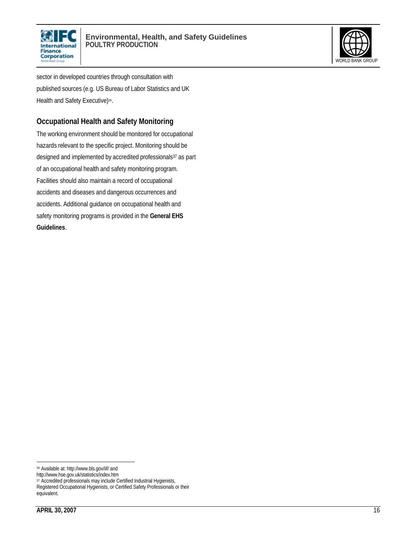



sector in developed countries through consultation with published sources (e.g. US Bureau of Labor Statistics and UK Health and Safety Executive)<sup>36</sup>.

### **Occupational Health and Safety Monitoring**

The working environment should be monitored for occupational hazards relevant to the specific project. Monitoring should be designed and implemented by accredited professionals<sup>37</sup> as part of an occupational health and safety monitoring program. Facilities should also maintain a record of occupational accidents and diseases and dangerous occurrences and accidents. Additional guidance on occupational health and safety monitoring programs is provided in the **General EHS Guidelines**.

 $\overline{a}$ 

<sup>36</sup> Available at: http://www.bls.gov/iif/ and

http://www.hse.gov.uk/statistics/index.htm

<sup>&</sup>lt;sup>37</sup> Accredited professionals may include Certified Industrial Hygienists,

Registered Occupational Hygienists, or Certified Safety Professionals or their equivalent.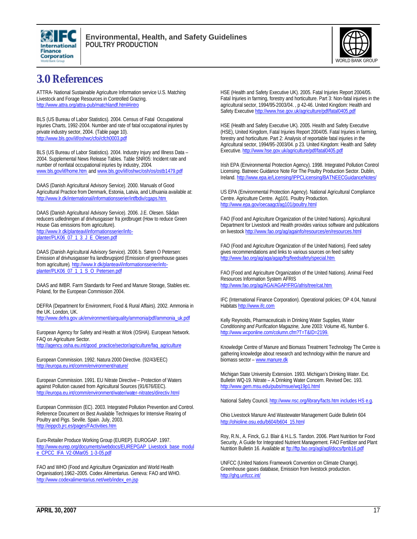



### **3.0 References**

ATTRA- National Sustainable Agriculture Information service U.S. Matching Livestock and Forage Resources in Controlled Grazing. http://www.attra.org/attra-pub/matchlandf.html#intro

BLS (US Bureau of Labor Statistics). 2004. Census of Fatal Occupational Injuries Charts, 1992-2004. Number and rate of fatal occupational injuries by private industry sector, 2004. (Table page 10). http://www.bls.gov/iif/oshwc/cfoi/cfch0003.pdf

BLS (US Bureau of Labor Statistics). 2004. Industry Injury and Illness Data – 2004. Supplemental News Release Tables. Table SNR05: Incident rate and number of nonfatal occupational injuries by industry, 2004. www.bls.gov/iif/home.htm and www.bls.gov/iif/oshwc/osh/os/ostb1479.pdf

DAAS (Danish Agricultural Advisory Service). 2000. Manuals of Good Agricultural Practice from Denmark, Estonia, Latvia, and Lithuania available at: http://www.lr.dk/international/informationsserier/intfbdiv/cgaps.htm

DAAS (Danish Agricultural Advisory Service). 2006. J.E. Olesen. Sådan reducers udledningen af drivhusgasser fra jordbruget (How to reduce Green House Gas emissions from agriculture). http://www.lr.dk/planteavl/informationsserier/infoplanter/PLK06\_07\_1\_3\_J\_E\_Olesen.pdf

DAAS (Danish Agricultural Advisory Service). 2006 b. Søren O Petersen: Emission af drivhusgasser fra landbrugsjord (Emission of greenhouse gases from agriculture). http://www.lr.dk/planteavl/informationsserier/infoplanter/PLK06\_07\_1\_1\_S\_O\_Petersen.pdf

DAAS and IMBR. Farm Standards for Feed and Manure Storage, Stables etc. Poland, for the European Commission 2004.

DEFRA (Department for Environment, Food & Rural Affairs). 2002. Ammonia in the UK. London, UK. http://www.defra.gov.uk/environment/airquality/ammonia/pdf/ammonia\_uk.pdf

European Agency for Safety and Health at Work (OSHA). European Network. FAQ on Agriculture Sector.

http://agency.osha.eu.int/good\_practice/sector/agriculture/fag\_agriculture

European Commission. 1992. Natura 2000 Directive. (92/43/EEC) http://europa.eu.int/comm/environment/nature/

European Commission. 1991. EU Nitrate Directive – Protection of Waters against Pollution caused from Agricultural Sources (91/676/EEC). http://europa.eu.int/comm/environment/water/water-nitrates/directiv.html

European Commission (EC). 2003. Integrated Pollution Prevention and Control. Reference Document on Best Available Techniques for Intensive Rearing of Poultry and Pigs. Seville. Spain. July, 2003. http://eippcb.jrc.es/pages/FActivities.htm

Euro-Retailer Produce Working Group (EUREP). EUROGAP. 1997. http://www.eurep.org/documents/webdocs/EUREPGAP\_Livestock\_base\_modul e\_CPCC\_IFA\_V2-0Mar05\_1-3-05.pdf

FAO and WHO (Food and Agriculture Organization and World Health Organisation).1962–2005. Codex Alimentarius. Geneva: FAO and WHO. http://www.codexalimentarius.net/web/index\_en.jsp

HSE (Health and Safety Executive UK). 2005. Fatal Injuries Report 2004/05. Fatal Injuries in farming, forestry and horticulture. Part 3: Non-fatal injuries in the agricultural sector, 1994/95-2003/04. , p 42-46. United Kingdom: Health and Safety Executive http://www.hse.gov.uk/agriculture/pdf/fatal0405.pdf

HSE (Health and Safety Executive UK). 2005. Health and Safety Executive (HSE), United Kingdom, Fatal Injuries Report 2004/05. Fatal Injuries in farming, forestry and horticulture. Part 2: Analysis of reportable fatal injuries in the Agricultural sector, 1994/95-2003/04. p 23. United Kingdom: Health and Safety Executive. http://www.hse.gov.uk/agriculture/pdf/fatal0405.pdf

Irish EPA (Environmental Protection Agency). 1998. Integrated Pollution Control Licensing. Batneec Guidance Note For The Poultry Production Sector. Dublin, Ireland. http://www.epa.ie/Licensing/IPPCLicensing/BATNEECGuidanceNotes/

US EPA (Environmental Protection Agency). National Agricultural Compliance Centre. Agriculture Centre. Ag101. Poultry Production. http://www.epa.gov/oecaagct/ag101/poultry.html

FAO (Food and Agriculture Organization of the United Nations). Agricultural Department for Livestock and Health provides various software and publications on livestock http://www.fao.org/ag/againfo/resources/en/resources.html

FAO (Food and Agriculture Organization of the United Nations). Feed safety gives recommendations and links to various sources on feed safety http://www.fao.org/ag/aga/agap/frg/feedsafety/special.htm

FAO (Food and Agriculture Organization of the United Nations). Animal Feed Resources Information System AFRIS http://www.fao.org/ag/AGA/AGAP/FRG/afris/tree/cat.htm

IFC (International Finance Corporation). Operational policies; OP 4.04, Natural Habitats http://www.ifc.com

Kelly Reynolds, Pharmaceuticals in Drinking Water Supplies, *Water Conditioning and Purification Magazine,* June 2003: Volume 45, Number 6. http://www.wcponline.com/column.cfm?T=T&ID=2199.

Knowledge Centre of Manure and Biomass Treatment Technology The Centre is gathering knowledge about research and technology within the manure and biomass sector – www.manure.dk

Michigan State University Extension. 1993. Michigan's Drinking Water. Ext. Bulletin WQ-19. Nitrate – A Drinking Water Concern. Revised Dec. 193. http://www.gem.msu.edu/pubs/msue/wq19p1.html

National Safety Council. http://www.nsc.org/library/facts.htm includes HS e.g.

Ohio Livestock Manure And Wastewater Management Guide Bulletin 604 http://ohioline.osu.edu/b604/b604\_15.html

Roy, R.N., A. Finck, G.J. Blair & H.L.S. Tandon. 2006. Plant Nutrition for Food Security, A Guide for Integrated Nutrient Management. FAO Fertilizer and Plant Nutrition Bulletin 16. Available at ftp://ftp.fao.org/agl/agll/docs/fpnb16.pdf

UNFCC (United Nations Framework Convention on Climate Change). Greenhouse gases database, Emission from livestock production. http://ghg.unfccc.int/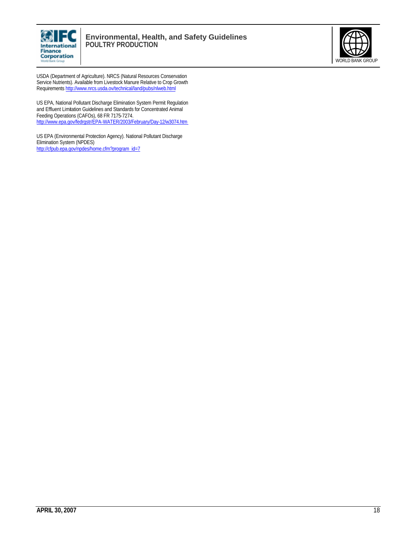



USDA (Department of Agriculture). NRCS (Natural Resources Conservation Service Nutrients). Available from Livestock Manure Relative to Crop Growth Requirements http://www.nrcs.usda.ov/technical/land/pubs/nlweb.html

US EPA, National Pollutant Discharge Elimination System Permit Regulation and Effluent Limitation Guidelines and Standards for Concentrated Animal Feeding Operations (CAFOs), 68 FR 7175-7274. http://www.epa.gov/fedrgstr/EPA-WATER/2003/February/Day-12/w3074.htm

US EPA (Environmental Protection Agency). National Pollutant Discharge Elimination System (NPDES) http://cfpub.epa.gov/npdes/home.cfm?program\_id=7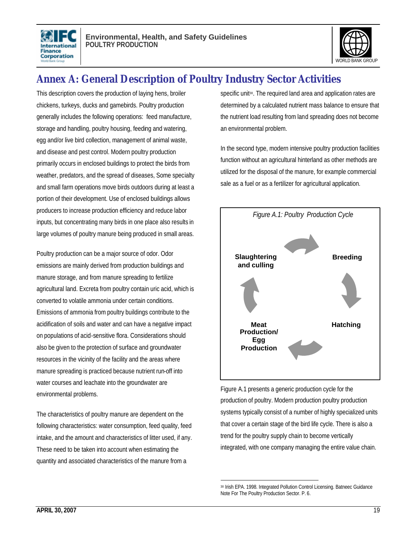



# **Annex A: General Description of Poultry Industry Sector Activities**

This description covers the production of laying hens, broiler chickens, turkeys, ducks and gamebirds. Poultry production generally includes the following operations: feed manufacture, storage and handling, poultry housing, feeding and watering, egg and/or live bird collection, management of animal waste, and disease and pest control. Modern poultry production primarily occurs in enclosed buildings to protect the birds from weather, predators, and the spread of diseases, Some specialty and small farm operations move birds outdoors during at least a portion of their development. Use of enclosed buildings allows producers to increase production efficiency and reduce labor inputs, but concentrating many birds in one place also results in large volumes of poultry manure being produced in small areas.

Poultry production can be a major source of odor. Odor emissions are mainly derived from production buildings and manure storage, and from manure spreading to fertilize agricultural land. Excreta from poultry contain uric acid, which is converted to volatile ammonia under certain conditions. Emissions of ammonia from poultry buildings contribute to the acidification of soils and water and can have a negative impact on populations of acid-sensitive flora. Considerations should also be given to the protection of surface and groundwater resources in the vicinity of the facility and the areas where manure spreading is practiced because nutrient run-off into water courses and leachate into the groundwater are environmental problems.

The characteristics of poultry manure are dependent on the following characteristics: water consumption, feed quality, feed intake, and the amount and characteristics of litter used, if any. These need to be taken into account when estimating the quantity and associated characteristics of the manure from a

specific unit<sup>38</sup>. The required land area and application rates are determined by a calculated nutrient mass balance to ensure that the nutrient load resulting from land spreading does not become an environmental problem.

In the second type, modern intensive poultry production facilities function without an agricultural hinterland as other methods are utilized for the disposal of the manure, for example commercial sale as a fuel or as a fertilizer for agricultural application.



Figure A.1 presents a generic production cycle for the production of poultry. Modern production poultry production systems typically consist of a number of highly specialized units that cover a certain stage of the bird life cycle. There is also a trend for the poultry supply chain to become vertically integrated, with one company managing the entire value chain.

 $\overline{a}$ <sup>38</sup> Irish EPA. 1998. Integrated Pollution Control Licensing. Batneec Guidance Note For The Poultry Production Sector. P. 6.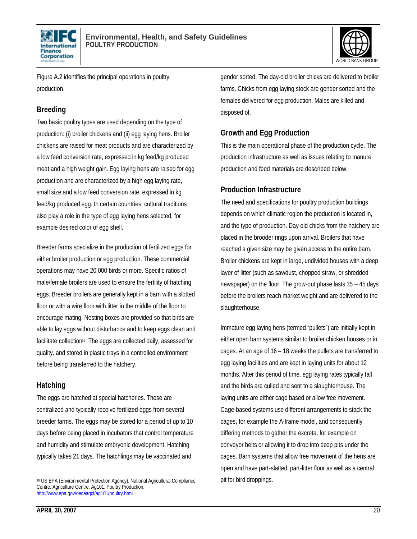



Figure A.2 identifies the principal operations in poultry production.

### **Breeding**

Two basic poultry types are used depending on the type of production: (i) broiler chickens and (ii) egg laying hens. Broiler chickens are raised for meat products and are characterized by a low feed conversion rate, expressed in kg feed/kg produced meat and a high weight gain. Egg laying hens are raised for egg production and are characterized by a high egg laying rate, small size and a low feed conversion rate, expressed in kg feed/kg produced egg. In certain countries, cultural traditions also play a role in the type of egg laying hens selected, for example desired color of egg shell.

Breeder farms specialize in the production of fertilized eggs for either broiler production or egg production. These commercial operations may have 20,000 birds or more. Specific ratios of male/female broilers are used to ensure the fertility of hatching eggs. Breeder broilers are generally kept in a barn with a slotted floor or with a wire floor with litter in the middle of the floor to encourage mating. Nesting boxes are provided so that birds are able to lay eggs without disturbance and to keep eggs clean and facilitate collection<sup>39</sup>. The eggs are collected daily, assessed for quality, and stored in plastic trays in a controlled environment before being transferred to the hatchery.

#### **Hatching**

The eggs are hatched at special hatcheries. These are centralized and typically receive fertilized eggs from several breeder farms. The eggs may be stored for a period of up to 10 days before being placed in incubators that control temperature and humidity and stimulate embryonic development. Hatching typically takes 21 days. The hatchlings may be vaccinated and

gender sorted. The day-old broiler chicks are delivered to broiler farms. Chicks from egg laying stock are gender sorted and the females delivered for egg production. Males are killed and disposed of.

#### **Growth and Egg Production**

This is the main operational phase of the production cycle. The production infrastructure as well as issues relating to manure production and feed materials are described below.

#### **Production Infrastructure**

The need and specifications for poultry production buildings depends on which climatic region the production is located in, and the type of production. Day-old chicks from the hatchery are placed in the brooder rings upon arrival. Broilers that have reached a given size may be given access to the entire barn. Broiler chickens are kept in large, undivided houses with a deep layer of litter (such as sawdust, chopped straw, or shredded newspaper) on the floor. The grow-out phase lasts 35 – 45 days before the broilers reach market weight and are delivered to the slaughterhouse.

Immature egg laying hens (termed "pullets") are initially kept in either open barn systems similar to broiler chicken houses or in cages. At an age of 16 – 18 weeks the pullets are transferred to egg laying facilities and are kept in laying units for about 12 months. After this period of time, egg laying rates typically fall and the birds are culled and sent to a slaughterhouse. The laying units are either cage based or allow free movement. Cage-based systems use different arrangements to stack the cages, for example the A-frame model, and consequently differing methods to gather the excreta, for example on conveyor belts or allowing it to drop into deep pits under the cages. Barn systems that allow free movement of the hens are open and have part-slatted, part-litter floor as well as a central pit for bird droppings.

 $\overline{a}$ 

<sup>39</sup> US EPA (Environmental Protection Agency). National Agricultural Compliance Centre. Agriculture Centre. Ag101. Poultry Production. http://www.epa.gov/oecaagct/ag101/poultry.html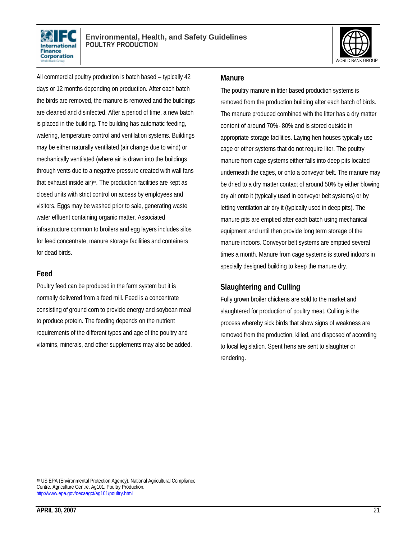



All commercial poultry production is batch based – typically 42 days or 12 months depending on production. After each batch the birds are removed, the manure is removed and the buildings are cleaned and disinfected. After a period of time, a new batch is placed in the building. The building has automatic feeding, watering, temperature control and ventilation systems. Buildings may be either naturally ventilated (air change due to wind) or mechanically ventilated (where air is drawn into the buildings through vents due to a negative pressure created with wall fans that exhaust inside air)<sup>40</sup>. The production facilities are kept as closed units with strict control on access by employees and visitors. Eggs may be washed prior to sale, generating waste water effluent containing organic matter. Associated infrastructure common to broilers and egg layers includes silos for feed concentrate, manure storage facilities and containers for dead birds.

#### **Feed**

Poultry feed can be produced in the farm system but it is normally delivered from a feed mill. Feed is a concentrate consisting of ground corn to provide energy and soybean meal to produce protein. The feeding depends on the nutrient requirements of the different types and age of the poultry and vitamins, minerals, and other supplements may also be added.

#### **Manure**

The poultry manure in litter based production systems is removed from the production building after each batch of birds. The manure produced combined with the litter has a dry matter content of around 70% - 80% and is stored outside in appropriate storage facilities. Laying hen houses typically use cage or other systems that do not require liter. The poultry manure from cage systems either falls into deep pits located underneath the cages, or onto a conveyor belt. The manure may be dried to a dry matter contact of around 50% by either blowing dry air onto it (typically used in conveyor belt systems) or by letting ventilation air dry it (typically used in deep pits). The manure pits are emptied after each batch using mechanical equipment and until then provide long term storage of the manure indoors. Conveyor belt systems are emptied several times a month. Manure from cage systems is stored indoors in specially designed building to keep the manure dry.

#### **Slaughtering and Culling**

Fully grown broiler chickens are sold to the market and slaughtered for production of poultry meat. Culling is the process whereby sick birds that show signs of weakness are removed from the production, killed, and disposed of according to local legislation. Spent hens are sent to slaughter or rendering.

 $\overline{a}$ <sup>40</sup> US EPA (Environmental Protection Agency). National Agricultural Compliance Centre. Agriculture Centre. Ag101. Poultry Production. http://www.epa.gov/oecaagct/ag101/poultry.html